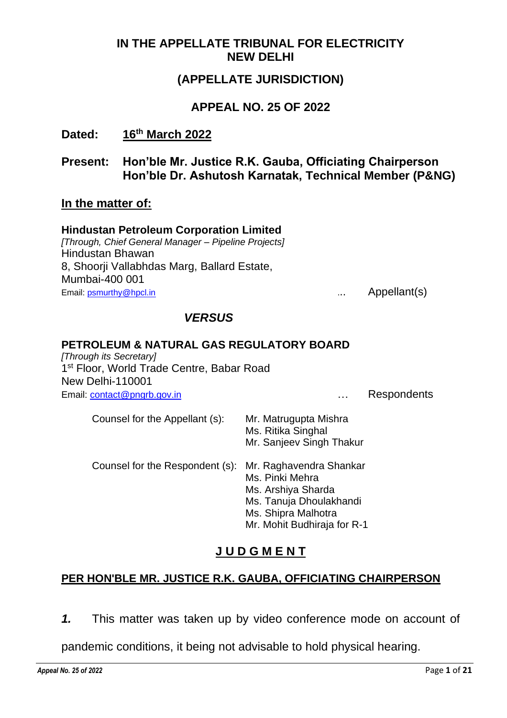### **IN THE APPELLATE TRIBUNAL FOR ELECTRICITY NEW DELHI**

# **(APPELLATE JURISDICTION)**

### **APPEAL NO. 25 OF 2022**

**Dated: 16th March 2022**

### **Present: Hon'ble Mr. Justice R.K. Gauba, Officiating Chairperson Hon'ble Dr. Ashutosh Karnatak, Technical Member (P&NG)**

#### **In the matter of:**

#### **Hindustan Petroleum Corporation Limited**

*[Through, Chief General Manager – Pipeline Projects]* Hindustan Bhawan 8, Shoorji Vallabhdas Marg, Ballard Estate, Mumbai-400 001 Email: **psmurthy@hpcl.in Email: Proportionally CONS EMALLER EMALLER CONS CONS CONS CONS CONS CONS CONS CONS CONS CONS CONS CONS CONS CONS CONS CONS CONS CONS CONS CONS CO** 

### *VERSUS*

#### **PETROLEUM & NATURAL GAS REGULATORY BOARD**

*[Through its Secretary]* 1<sup>st</sup> Floor, World Trade Centre, Babar Road New Delhi-110001 Email: [contact@pngrb.gov.in](mailto:contact@pngrb.gov.in) **Email: contact@pngrb.gov.in** 2009 and 2009 and 2009 and 2009 and 2009 and 2009 and 2009 and 2009 and 2009 and 2009 and 2009 and 2009 and 2009 and 2009 and 2009 and 2009 and 2009 and 2009 and 20

| Counsel for the Appellant (s):  | Mr. Matrugupta Mishra<br>Ms. Ritika Singhal<br>Mr. Sanjeev Singh Thakur                                                                           |
|---------------------------------|---------------------------------------------------------------------------------------------------------------------------------------------------|
| Counsel for the Respondent (s): | Mr. Raghavendra Shankar<br>Ms. Pinki Mehra<br>Ms. Arshiya Sharda<br>Ms. Tanuja Dhoulakhandi<br>Ms. Shipra Malhotra<br>Mr. Mohit Budhiraja for R-1 |

# **J U D G M E N T**

# **PER HON'BLE MR. JUSTICE R.K. GAUBA, OFFICIATING CHAIRPERSON**

*1.* This matter was taken up by video conference mode on account of

pandemic conditions, it being not advisable to hold physical hearing.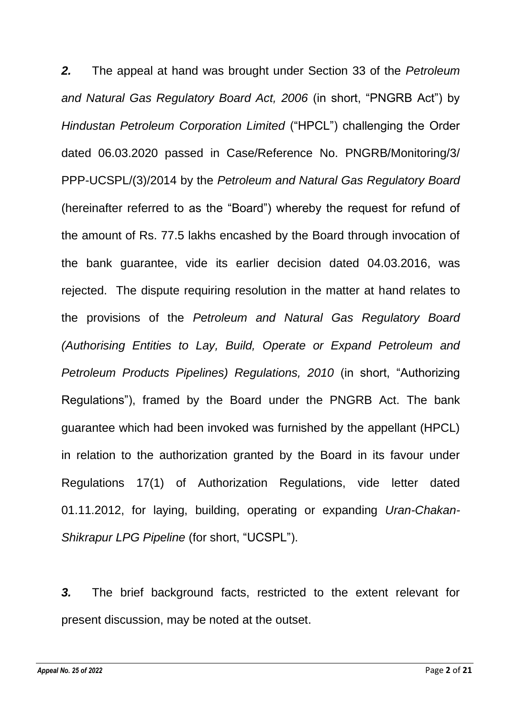*2.* The appeal at hand was brought under Section 33 of the *Petroleum and Natural Gas Regulatory Board Act, 2006* (in short, "PNGRB Act") by *Hindustan Petroleum Corporation Limited* ("HPCL") challenging the Order dated 06.03.2020 passed in Case/Reference No. PNGRB/Monitoring/3/ PPP-UCSPL/(3)/2014 by the *Petroleum and Natural Gas Regulatory Board* (hereinafter referred to as the "Board") whereby the request for refund of the amount of Rs. 77.5 lakhs encashed by the Board through invocation of the bank guarantee, vide its earlier decision dated 04.03.2016, was rejected. The dispute requiring resolution in the matter at hand relates to the provisions of the *Petroleum and Natural Gas Regulatory Board (Authorising Entities to Lay, Build, Operate or Expand Petroleum and Petroleum Products Pipelines) Regulations, 2010* (in short, "Authorizing Regulations"), framed by the Board under the PNGRB Act. The bank guarantee which had been invoked was furnished by the appellant (HPCL) in relation to the authorization granted by the Board in its favour under Regulations 17(1) of Authorization Regulations, vide letter dated 01.11.2012, for laying, building, operating or expanding *Uran-Chakan-Shikrapur LPG Pipeline* (for short, "UCSPL").

*3.* The brief background facts, restricted to the extent relevant for present discussion, may be noted at the outset.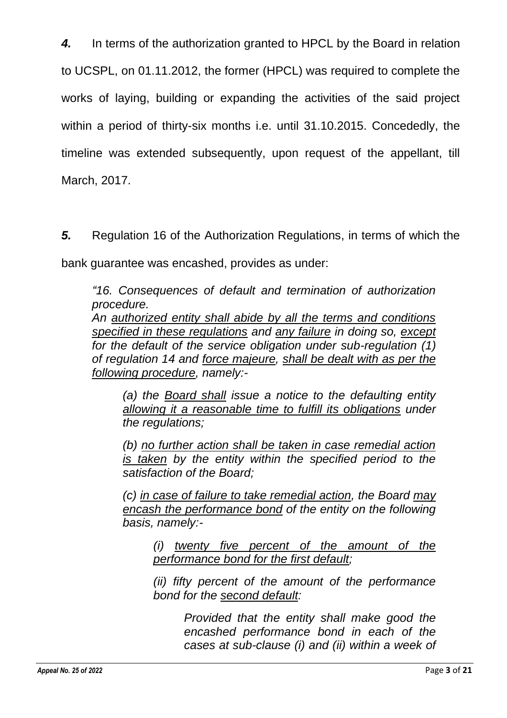*4.* In terms of the authorization granted to HPCL by the Board in relation to UCSPL, on 01.11.2012, the former (HPCL) was required to complete the works of laying, building or expanding the activities of the said project within a period of thirty-six months i.e. until 31.10.2015. Concededly, the timeline was extended subsequently, upon request of the appellant, till March, 2017.

*5.* Regulation 16 of the Authorization Regulations, in terms of which the

bank guarantee was encashed, provides as under:

*"16. Consequences of default and termination of authorization procedure.* 

*An authorized entity shall abide by all the terms and conditions specified in these regulations and any failure in doing so, except for the default of the service obligation under sub-regulation (1) of regulation 14 and force majeure, shall be dealt with as per the following procedure, namely:-*

*(a) the Board shall issue a notice to the defaulting entity allowing it a reasonable time to fulfill its obligations under the regulations;*

*(b) no further action shall be taken in case remedial action is taken by the entity within the specified period to the satisfaction of the Board;*

*(c) in case of failure to take remedial action, the Board may encash the performance bond of the entity on the following basis, namely:-*

*(i) twenty five percent of the amount of the performance bond for the first default;* 

*(ii) fifty percent of the amount of the performance bond for the second default:* 

> *Provided that the entity shall make good the encashed performance bond in each of the cases at sub-clause (i) and (ii) within a week of*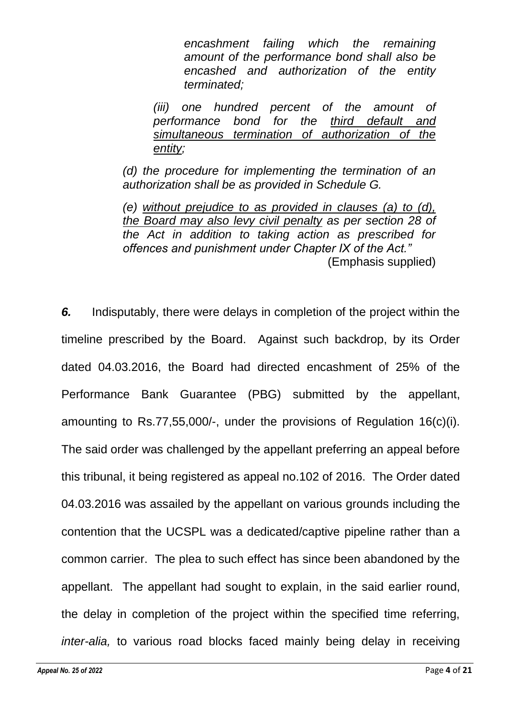*encashment failing which the remaining amount of the performance bond shall also be encashed and authorization of the entity terminated;*

*(iii) one hundred percent of the amount of performance bond for the third default and simultaneous termination of authorization of the entity;*

*(d) the procedure for implementing the termination of an authorization shall be as provided in Schedule G.*

*(e) without prejudice to as provided in clauses (a) to (d), the Board may also levy civil penalty as per section 28 of the Act in addition to taking action as prescribed for offences and punishment under Chapter IX of the Act."* (Emphasis supplied)

*6.* Indisputably, there were delays in completion of the project within the timeline prescribed by the Board. Against such backdrop, by its Order dated 04.03.2016, the Board had directed encashment of 25% of the Performance Bank Guarantee (PBG) submitted by the appellant, amounting to Rs.77,55,000/-, under the provisions of Regulation 16(c)(i). The said order was challenged by the appellant preferring an appeal before this tribunal, it being registered as appeal no.102 of 2016. The Order dated 04.03.2016 was assailed by the appellant on various grounds including the contention that the UCSPL was a dedicated/captive pipeline rather than a common carrier. The plea to such effect has since been abandoned by the appellant. The appellant had sought to explain, in the said earlier round, the delay in completion of the project within the specified time referring, *inter-alia,* to various road blocks faced mainly being delay in receiving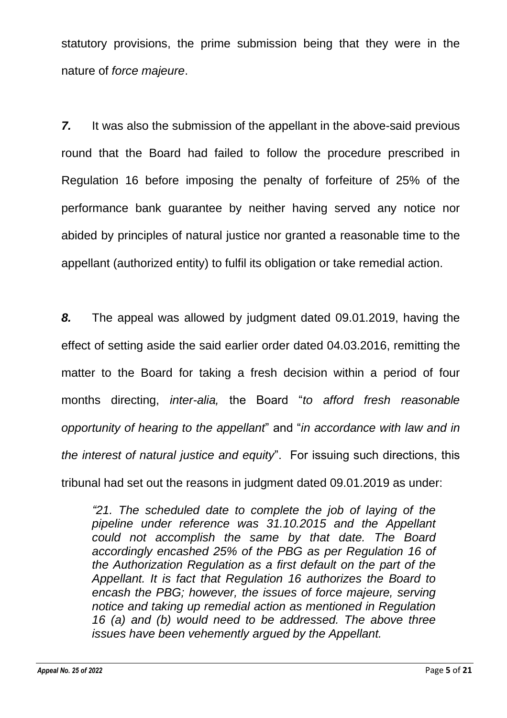statutory provisions, the prime submission being that they were in the nature of *force majeure*.

**7.** It was also the submission of the appellant in the above-said previous round that the Board had failed to follow the procedure prescribed in Regulation 16 before imposing the penalty of forfeiture of 25% of the performance bank guarantee by neither having served any notice nor abided by principles of natural justice nor granted a reasonable time to the appellant (authorized entity) to fulfil its obligation or take remedial action.

*8.* The appeal was allowed by judgment dated 09.01.2019, having the effect of setting aside the said earlier order dated 04.03.2016, remitting the matter to the Board for taking a fresh decision within a period of four months directing, *inter-alia,* the Board "*to afford fresh reasonable opportunity of hearing to the appellant*" and "*in accordance with law and in the interest of natural justice and equity*". For issuing such directions, this tribunal had set out the reasons in judgment dated 09.01.2019 as under:

*"21. The scheduled date to complete the job of laying of the pipeline under reference was 31.10.2015 and the Appellant could not accomplish the same by that date. The Board accordingly encashed 25% of the PBG as per Regulation 16 of the Authorization Regulation as a first default on the part of the Appellant. It is fact that Regulation 16 authorizes the Board to encash the PBG; however, the issues of force majeure, serving notice and taking up remedial action as mentioned in Regulation 16 (a) and (b) would need to be addressed. The above three issues have been vehemently argued by the Appellant.*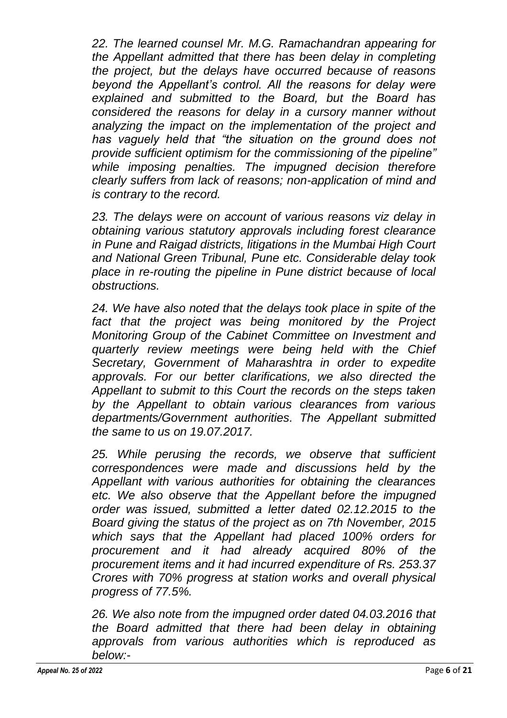*22. The learned counsel Mr. M.G. Ramachandran appearing for the Appellant admitted that there has been delay in completing the project, but the delays have occurred because of reasons beyond the Appellant's control. All the reasons for delay were explained and submitted to the Board, but the Board has considered the reasons for delay in a cursory manner without analyzing the impact on the implementation of the project and has vaguely held that "the situation on the ground does not provide sufficient optimism for the commissioning of the pipeline" while imposing penalties. The impugned decision therefore clearly suffers from lack of reasons; non-application of mind and is contrary to the record.*

*23. The delays were on account of various reasons viz delay in obtaining various statutory approvals including forest clearance in Pune and Raigad districts, litigations in the Mumbai High Court and National Green Tribunal, Pune etc. Considerable delay took place in re-routing the pipeline in Pune district because of local obstructions.*

*24. We have also noted that the delays took place in spite of the fact that the project was being monitored by the Project Monitoring Group of the Cabinet Committee on Investment and quarterly review meetings were being held with the Chief Secretary, Government of Maharashtra in order to expedite approvals. For our better clarifications, we also directed the Appellant to submit to this Court the records on the steps taken by the Appellant to obtain various clearances from various departments/Government authorities. The Appellant submitted the same to us on 19.07.2017.*

*25. While perusing the records, we observe that sufficient correspondences were made and discussions held by the Appellant with various authorities for obtaining the clearances etc. We also observe that the Appellant before the impugned order was issued, submitted a letter dated 02.12.2015 to the Board giving the status of the project as on 7th November, 2015 which says that the Appellant had placed 100% orders for procurement and it had already acquired 80% of the procurement items and it had incurred expenditure of Rs. 253.37 Crores with 70% progress at station works and overall physical progress of 77.5%.*

*26. We also note from the impugned order dated 04.03.2016 that the Board admitted that there had been delay in obtaining approvals from various authorities which is reproduced as below:-*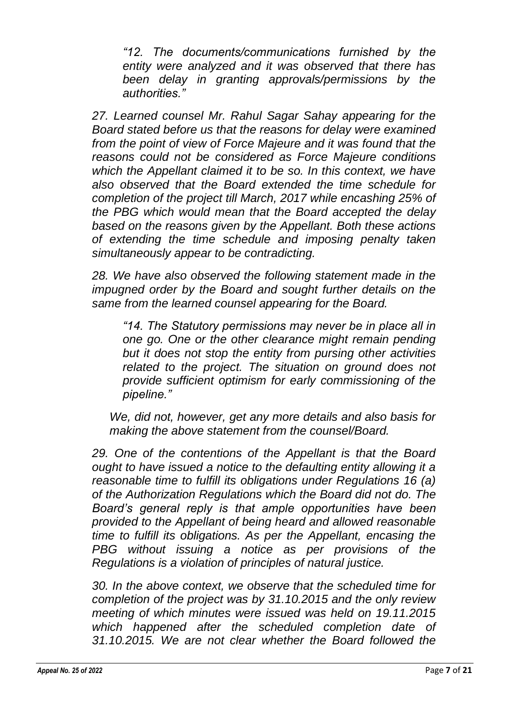*"12. The documents/communications furnished by the entity were analyzed and it was observed that there has been delay in granting approvals/permissions by the authorities."* 

*27. Learned counsel Mr. Rahul Sagar Sahay appearing for the Board stated before us that the reasons for delay were examined from the point of view of Force Majeure and it was found that the reasons could not be considered as Force Majeure conditions which the Appellant claimed it to be so. In this context, we have also observed that the Board extended the time schedule for completion of the project till March, 2017 while encashing 25% of the PBG which would mean that the Board accepted the delay based on the reasons given by the Appellant. Both these actions of extending the time schedule and imposing penalty taken simultaneously appear to be contradicting.*

*28. We have also observed the following statement made in the impugned order by the Board and sought further details on the same from the learned counsel appearing for the Board.*

*"14. The Statutory permissions may never be in place all in one go. One or the other clearance might remain pending but it does not stop the entity from pursing other activities related to the project. The situation on ground does not provide sufficient optimism for early commissioning of the pipeline."*

*We, did not, however, get any more details and also basis for making the above statement from the counsel/Board.*

*29. One of the contentions of the Appellant is that the Board ought to have issued a notice to the defaulting entity allowing it a reasonable time to fulfill its obligations under Regulations 16 (a) of the Authorization Regulations which the Board did not do. The Board's general reply is that ample opportunities have been provided to the Appellant of being heard and allowed reasonable time to fulfill its obligations. As per the Appellant, encasing the PBG without issuing a notice as per provisions of the Regulations is a violation of principles of natural justice.*

*30. In the above context, we observe that the scheduled time for completion of the project was by 31.10.2015 and the only review meeting of which minutes were issued was held on 19.11.2015 which happened after the scheduled completion date of 31.10.2015. We are not clear whether the Board followed the*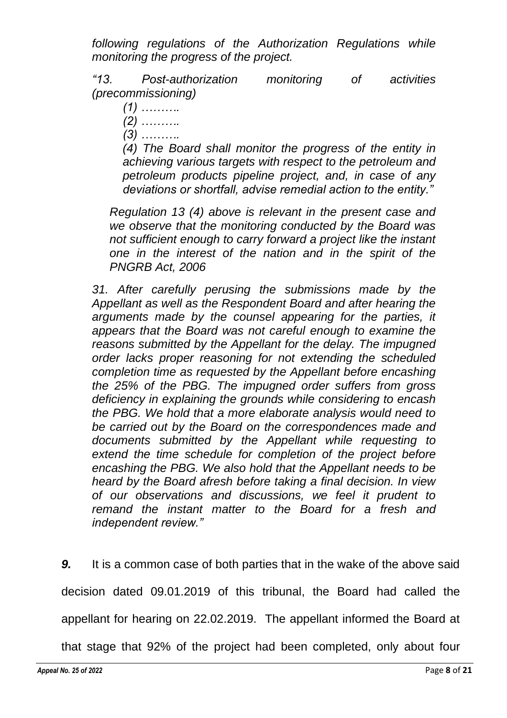*following regulations of the Authorization Regulations while monitoring the progress of the project.*

*"13. Post-authorization monitoring of activities (precommissioning)* 

- *(1) ………. (2) ……….*
- *(3) ……….*

*(4) The Board shall monitor the progress of the entity in achieving various targets with respect to the petroleum and petroleum products pipeline project, and, in case of any deviations or shortfall, advise remedial action to the entity."*

*Regulation 13 (4) above is relevant in the present case and we observe that the monitoring conducted by the Board was not sufficient enough to carry forward a project like the instant one in the interest of the nation and in the spirit of the PNGRB Act, 2006*

*31. After carefully perusing the submissions made by the Appellant as well as the Respondent Board and after hearing the arguments made by the counsel appearing for the parties, it appears that the Board was not careful enough to examine the reasons submitted by the Appellant for the delay. The impugned order lacks proper reasoning for not extending the scheduled completion time as requested by the Appellant before encashing the 25% of the PBG. The impugned order suffers from gross deficiency in explaining the grounds while considering to encash the PBG. We hold that a more elaborate analysis would need to be carried out by the Board on the correspondences made and documents submitted by the Appellant while requesting to extend the time schedule for completion of the project before encashing the PBG. We also hold that the Appellant needs to be heard by the Board afresh before taking a final decision. In view of our observations and discussions, we feel it prudent to remand the instant matter to the Board for a fresh and independent review."*

*9.* It is a common case of both parties that in the wake of the above said decision dated 09.01.2019 of this tribunal, the Board had called the appellant for hearing on 22.02.2019. The appellant informed the Board at

that stage that 92% of the project had been completed, only about four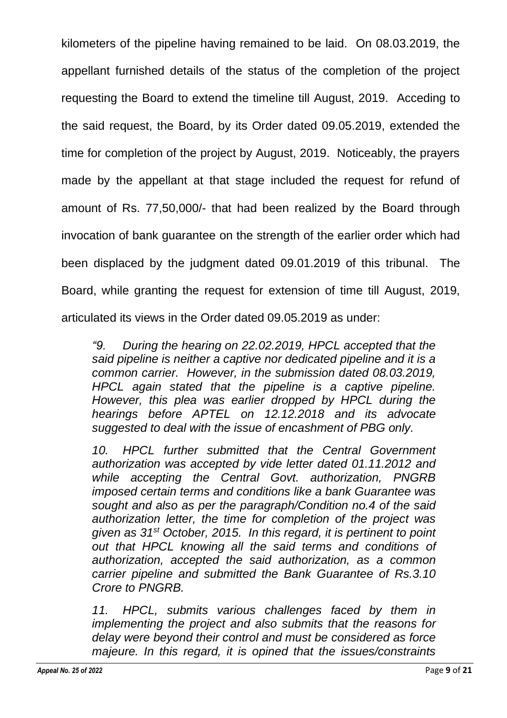kilometers of the pipeline having remained to be laid. On 08.03.2019, the appellant furnished details of the status of the completion of the project requesting the Board to extend the timeline till August, 2019. Acceding to the said request, the Board, by its Order dated 09.05.2019, extended the time for completion of the project by August, 2019. Noticeably, the prayers made by the appellant at that stage included the request for refund of amount of Rs. 77,50,000/- that had been realized by the Board through invocation of bank guarantee on the strength of the earlier order which had been displaced by the judgment dated 09.01.2019 of this tribunal. The Board, while granting the request for extension of time till August, 2019, articulated its views in the Order dated 09.05.2019 as under:

*"9. During the hearing on 22.02.2019, HPCL accepted that the said pipeline is neither a captive nor dedicated pipeline and it is a common carrier. However, in the submission dated 08.03.2019, HPCL again stated that the pipeline is a captive pipeline. However, this plea was earlier dropped by HPCL during the hearings before APTEL on 12.12.2018 and its advocate suggested to deal with the issue of encashment of PBG only.*

*10. HPCL further submitted that the Central Government authorization was accepted by vide letter dated 01.11.2012 and while accepting the Central Govt. authorization, PNGRB imposed certain terms and conditions like a bank Guarantee was sought and also as per the paragraph/Condition no.4 of the said authorization letter, the time for completion of the project was given as 31st October, 2015. In this regard, it is pertinent to point out that HPCL knowing all the said terms and conditions of authorization, accepted the said authorization, as a common carrier pipeline and submitted the Bank Guarantee of Rs.3.10 Crore to PNGRB.*

*11. HPCL, submits various challenges faced by them in implementing the project and also submits that the reasons for delay were beyond their control and must be considered as force majeure. In this regard, it is opined that the issues/constraints*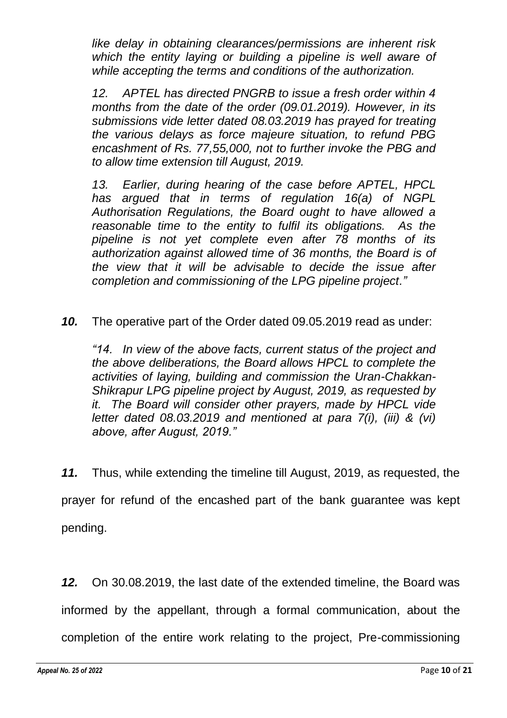*like delay in obtaining clearances/permissions are inherent risk which the entity laying or building a pipeline is well aware of while accepting the terms and conditions of the authorization.*

*12. APTEL has directed PNGRB to issue a fresh order within 4 months from the date of the order (09.01.2019). However, in its submissions vide letter dated 08.03.2019 has prayed for treating the various delays as force majeure situation, to refund PBG encashment of Rs. 77,55,000, not to further invoke the PBG and to allow time extension till August, 2019.*

*13. Earlier, during hearing of the case before APTEL, HPCL has argued that in terms of regulation 16(a) of NGPL Authorisation Regulations, the Board ought to have allowed a reasonable time to the entity to fulfil its obligations. As the pipeline is not yet complete even after 78 months of its authorization against allowed time of 36 months, the Board is of the view that it will be advisable to decide the issue after completion and commissioning of the LPG pipeline project."*

*10.* The operative part of the Order dated 09.05.2019 read as under:

*"14. In view of the above facts, current status of the project and the above deliberations, the Board allows HPCL to complete the activities of laying, building and commission the Uran-Chakkan-Shikrapur LPG pipeline project by August, 2019, as requested by it. The Board will consider other prayers, made by HPCL vide letter dated 08.03.2019 and mentioned at para 7(i), (iii) & (vi) above, after August, 2019."*

*11.* Thus, while extending the timeline till August, 2019, as requested, the prayer for refund of the encashed part of the bank guarantee was kept pending.

*12.* On 30.08.2019, the last date of the extended timeline, the Board was informed by the appellant, through a formal communication, about the completion of the entire work relating to the project, Pre-commissioning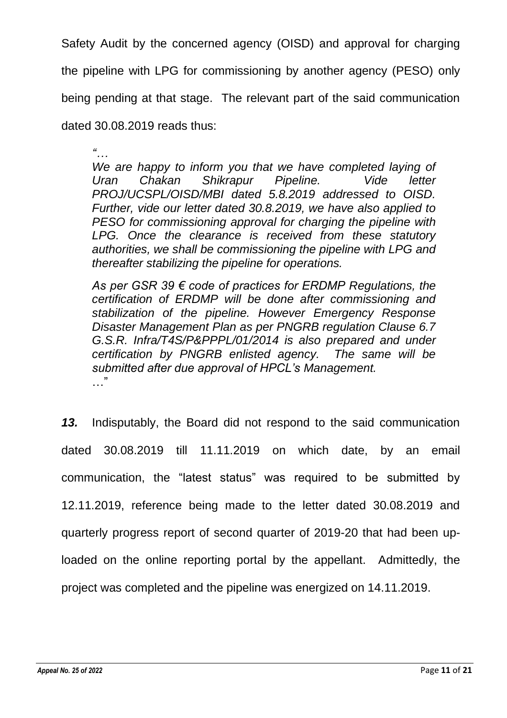Safety Audit by the concerned agency (OISD) and approval for charging

the pipeline with LPG for commissioning by another agency (PESO) only

being pending at that stage. The relevant part of the said communication

dated 30.08.2019 reads thus:

*"… We are happy to inform you that we have completed laying of Uran Chakan Shikrapur Pipeline. Vide letter PROJ/UCSPL/OISD/MBI dated 5.8.2019 addressed to OISD. Further, vide our letter dated 30.8.2019, we have also applied to PESO for commissioning approval for charging the pipeline with LPG. Once the clearance is received from these statutory authorities, we shall be commissioning the pipeline with LPG and thereafter stabilizing the pipeline for operations.*

*As per GSR 39 € code of practices for ERDMP Regulations, the certification of ERDMP will be done after commissioning and stabilization of the pipeline. However Emergency Response Disaster Management Plan as per PNGRB regulation Clause 6.7*  G.S.R. Infra/T4S/P&PPPL/01/2014 is also prepared and under *certification by PNGRB enlisted agency. The same will be submitted after due approval of HPCL's Management.* …"

*13.* Indisputably, the Board did not respond to the said communication dated 30.08.2019 till 11.11.2019 on which date, by an email communication, the "latest status" was required to be submitted by 12.11.2019, reference being made to the letter dated 30.08.2019 and quarterly progress report of second quarter of 2019-20 that had been uploaded on the online reporting portal by the appellant. Admittedly, the project was completed and the pipeline was energized on 14.11.2019.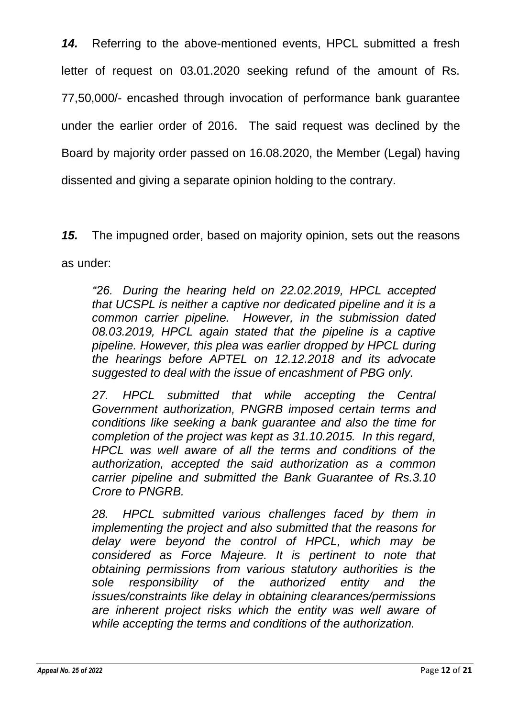*14.* Referring to the above-mentioned events, HPCL submitted a fresh letter of request on 03.01.2020 seeking refund of the amount of Rs. 77,50,000/- encashed through invocation of performance bank guarantee under the earlier order of 2016. The said request was declined by the Board by majority order passed on 16.08.2020, the Member (Legal) having dissented and giving a separate opinion holding to the contrary.

*15.* The impugned order, based on majority opinion, sets out the reasons as under:

*"26. During the hearing held on 22.02.2019, HPCL accepted that UCSPL is neither a captive nor dedicated pipeline and it is a common carrier pipeline. However, in the submission dated 08.03.2019, HPCL again stated that the pipeline is a captive pipeline. However, this plea was earlier dropped by HPCL during the hearings before APTEL on 12.12.2018 and its advocate suggested to deal with the issue of encashment of PBG only.*

*27. HPCL submitted that while accepting the Central Government authorization, PNGRB imposed certain terms and conditions like seeking a bank guarantee and also the time for completion of the project was kept as 31.10.2015. In this regard, HPCL was well aware of all the terms and conditions of the authorization, accepted the said authorization as a common carrier pipeline and submitted the Bank Guarantee of Rs.3.10 Crore to PNGRB.*

*28. HPCL submitted various challenges faced by them in implementing the project and also submitted that the reasons for delay were beyond the control of HPCL, which may be considered as Force Majeure. It is pertinent to note that obtaining permissions from various statutory authorities is the sole responsibility of the authorized entity and the issues/constraints like delay in obtaining clearances/permissions are inherent project risks which the entity was well aware of while accepting the terms and conditions of the authorization.*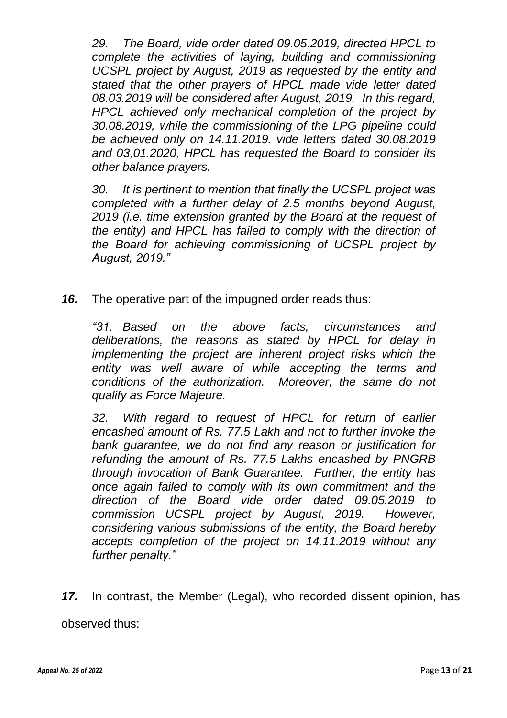*29. The Board, vide order dated 09.05.2019, directed HPCL to complete the activities of laying, building and commissioning UCSPL project by August, 2019 as requested by the entity and stated that the other prayers of HPCL made vide letter dated 08.03.2019 will be considered after August, 2019. In this regard, HPCL achieved only mechanical completion of the project by 30.08.2019, while the commissioning of the LPG pipeline could be achieved only on 14.11.2019. vide letters dated 30.08.2019 and 03,01.2020, HPCL has requested the Board to consider its other balance prayers.*

*30. It is pertinent to mention that finally the UCSPL project was completed with a further delay of 2.5 months beyond August, 2019 (i.e. time extension granted by the Board at the request of the entity) and HPCL has failed to comply with the direction of the Board for achieving commissioning of UCSPL project by August, 2019."*

*16.* The operative part of the impugned order reads thus:

*"31. Based on the above facts, circumstances and deliberations, the reasons as stated by HPCL for delay in implementing the project are inherent project risks which the entity was well aware of while accepting the terms and conditions of the authorization. Moreover, the same do not qualify as Force Majeure.*

*32. With regard to request of HPCL for return of earlier encashed amount of Rs. 77.5 Lakh and not to further invoke the bank guarantee, we do not find any reason or justification for refunding the amount of Rs. 77.5 Lakhs encashed by PNGRB through invocation of Bank Guarantee. Further, the entity has once again failed to comply with its own commitment and the direction of the Board vide order dated 09.05.2019 to commission UCSPL project by August, 2019. However, considering various submissions of the entity, the Board hereby accepts completion of the project on 14.11.2019 without any further penalty."*

*17.* In contrast, the Member (Legal), who recorded dissent opinion, has observed thus: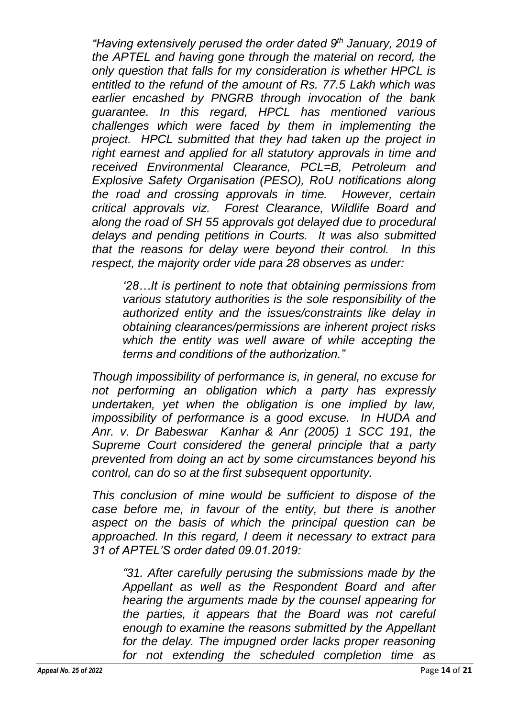*"Having extensively perused the order dated 9th January, 2019 of the APTEL and having gone through the material on record, the only question that falls for my consideration is whether HPCL is entitled to the refund of the amount of Rs. 77.5 Lakh which was earlier encashed by PNGRB through invocation of the bank guarantee. In this regard, HPCL has mentioned various challenges which were faced by them in implementing the project. HPCL submitted that they had taken up the project in right earnest and applied for all statutory approvals in time and received Environmental Clearance, PCL=B, Petroleum and Explosive Safety Organisation (PESO), RoU notifications along the road and crossing approvals in time. However, certain critical approvals viz. Forest Clearance, Wildlife Board and along the road of SH 55 approvals got delayed due to procedural delays and pending petitions in Courts. It was also submitted that the reasons for delay were beyond their control. In this respect, the majority order vide para 28 observes as under:*

*'28…It is pertinent to note that obtaining permissions from various statutory authorities is the sole responsibility of the authorized entity and the issues/constraints like delay in obtaining clearances/permissions are inherent project risks which the entity was well aware of while accepting the terms and conditions of the authorization."*

*Though impossibility of performance is, in general, no excuse for not performing an obligation which a party has expressly undertaken, yet when the obligation is one implied by law, impossibility of performance is a good excuse. In HUDA and Anr. v. Dr Babeswar Kanhar & Anr (2005) 1 SCC 191, the Supreme Court considered the general principle that a party prevented from doing an act by some circumstances beyond his control, can do so at the first subsequent opportunity.*

*This conclusion of mine would be sufficient to dispose of the case before me, in favour of the entity, but there is another aspect on the basis of which the principal question can be approached. In this regard, I deem it necessary to extract para 31 of APTEL'S order dated 09.01.2019:*

*"31. After carefully perusing the submissions made by the Appellant as well as the Respondent Board and after hearing the arguments made by the counsel appearing for the parties, it appears that the Board was not careful enough to examine the reasons submitted by the Appellant*  for the delay. The *impugned order lacks proper reasoning for not extending the scheduled completion time as*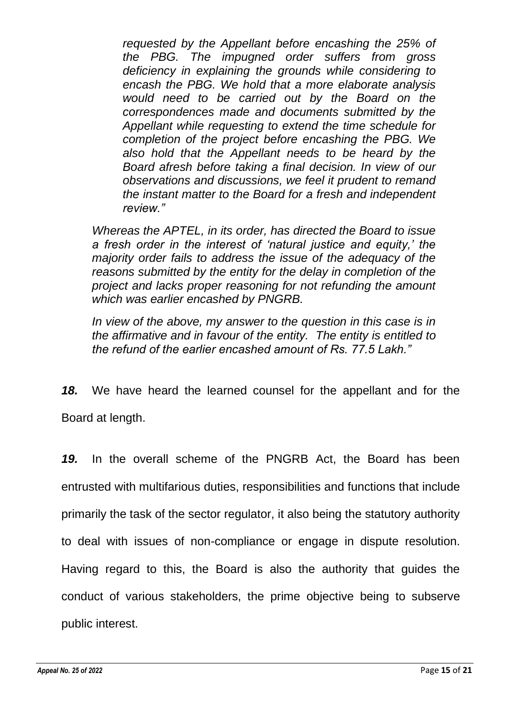*requested by the Appellant before encashing the 25% of the PBG. The impugned order suffers from gross deficiency in explaining the grounds while considering to encash the PBG. We hold that a more elaborate analysis would need to be carried out by the Board on the correspondences made and documents submitted by the Appellant while requesting to extend the time schedule for completion of the project before encashing the PBG. We also hold that the Appellant needs to be heard by the Board afresh before taking a final decision. In view of our observations and discussions, we feel it prudent to remand the instant matter to the Board for a fresh and independent review."*

*Whereas the APTEL, in its order, has directed the Board to issue a fresh order in the interest of 'natural justice and equity,' the majority order fails to address the issue of the adequacy of the reasons submitted by the entity for the delay in completion of the project and lacks proper reasoning for not refunding the amount which was earlier encashed by PNGRB.*

*In view of the above, my answer to the question in this case is in the affirmative and in favour of the entity. The entity is entitled to the refund of the earlier encashed amount of Rs. 77.5 Lakh."*

*18.* We have heard the learned counsel for the appellant and for the Board at length.

*19.* In the overall scheme of the PNGRB Act, the Board has been entrusted with multifarious duties, responsibilities and functions that include primarily the task of the sector regulator, it also being the statutory authority to deal with issues of non-compliance or engage in dispute resolution. Having regard to this, the Board is also the authority that guides the conduct of various stakeholders, the prime objective being to subserve public interest.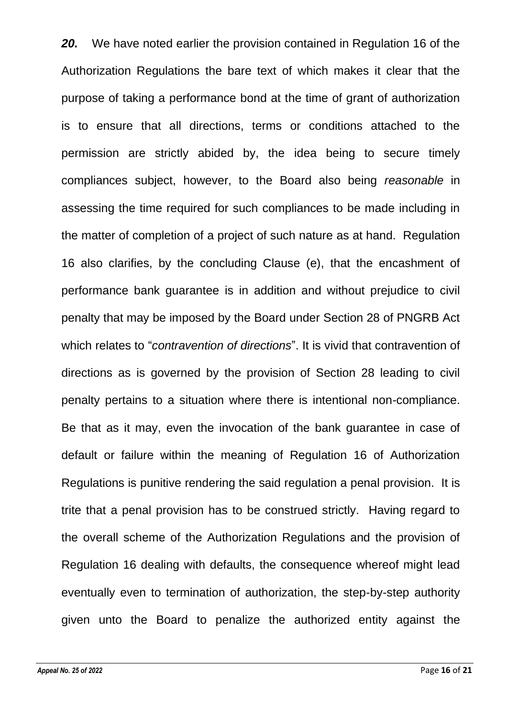*20.* We have noted earlier the provision contained in Regulation 16 of the Authorization Regulations the bare text of which makes it clear that the purpose of taking a performance bond at the time of grant of authorization is to ensure that all directions, terms or conditions attached to the permission are strictly abided by, the idea being to secure timely compliances subject, however, to the Board also being *reasonable* in assessing the time required for such compliances to be made including in the matter of completion of a project of such nature as at hand. Regulation 16 also clarifies, by the concluding Clause (e), that the encashment of performance bank guarantee is in addition and without prejudice to civil penalty that may be imposed by the Board under Section 28 of PNGRB Act which relates to "*contravention of directions*". It is vivid that contravention of directions as is governed by the provision of Section 28 leading to civil penalty pertains to a situation where there is intentional non-compliance. Be that as it may, even the invocation of the bank guarantee in case of default or failure within the meaning of Regulation 16 of Authorization Regulations is punitive rendering the said regulation a penal provision. It is trite that a penal provision has to be construed strictly. Having regard to the overall scheme of the Authorization Regulations and the provision of Regulation 16 dealing with defaults, the consequence whereof might lead eventually even to termination of authorization, the step-by-step authority given unto the Board to penalize the authorized entity against the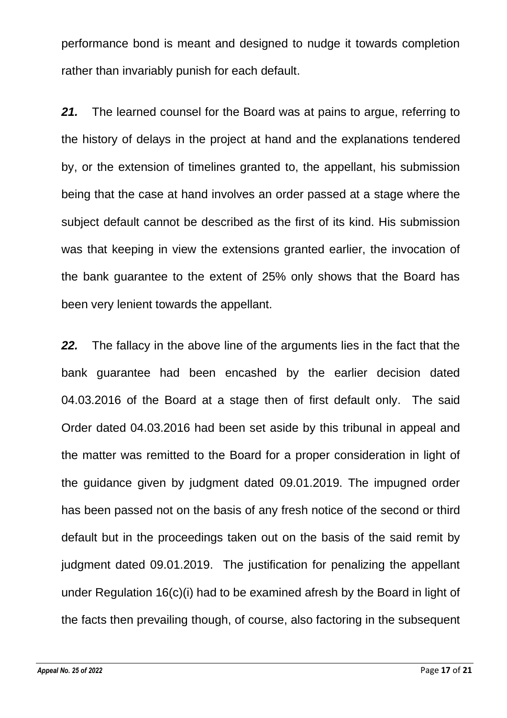performance bond is meant and designed to nudge it towards completion rather than invariably punish for each default.

*21.* The learned counsel for the Board was at pains to argue, referring to the history of delays in the project at hand and the explanations tendered by, or the extension of timelines granted to, the appellant, his submission being that the case at hand involves an order passed at a stage where the subject default cannot be described as the first of its kind. His submission was that keeping in view the extensions granted earlier, the invocation of the bank guarantee to the extent of 25% only shows that the Board has been very lenient towards the appellant.

*22.* The fallacy in the above line of the arguments lies in the fact that the bank guarantee had been encashed by the earlier decision dated 04.03.2016 of the Board at a stage then of first default only. The said Order dated 04.03.2016 had been set aside by this tribunal in appeal and the matter was remitted to the Board for a proper consideration in light of the guidance given by judgment dated 09.01.2019. The impugned order has been passed not on the basis of any fresh notice of the second or third default but in the proceedings taken out on the basis of the said remit by judgment dated 09.01.2019. The justification for penalizing the appellant under Regulation 16(c)(i) had to be examined afresh by the Board in light of the facts then prevailing though, of course, also factoring in the subsequent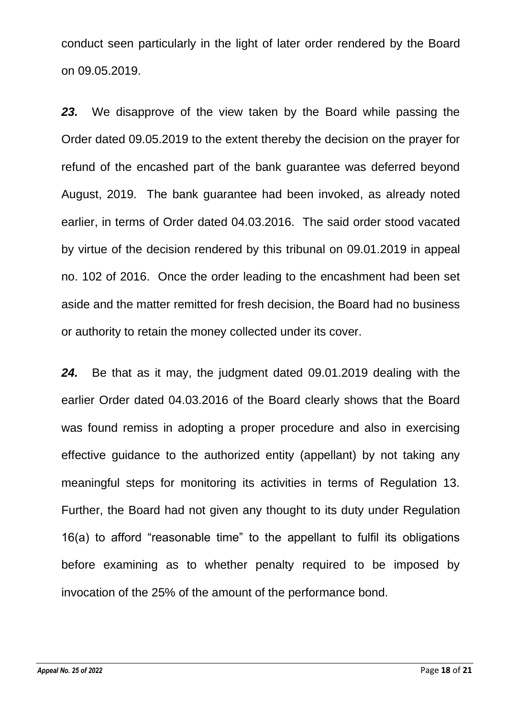conduct seen particularly in the light of later order rendered by the Board on 09.05.2019.

*23.* We disapprove of the view taken by the Board while passing the Order dated 09.05.2019 to the extent thereby the decision on the prayer for refund of the encashed part of the bank guarantee was deferred beyond August, 2019. The bank guarantee had been invoked, as already noted earlier, in terms of Order dated 04.03.2016. The said order stood vacated by virtue of the decision rendered by this tribunal on 09.01.2019 in appeal no. 102 of 2016. Once the order leading to the encashment had been set aside and the matter remitted for fresh decision, the Board had no business or authority to retain the money collected under its cover.

*24.* Be that as it may, the judgment dated 09.01.2019 dealing with the earlier Order dated 04.03.2016 of the Board clearly shows that the Board was found remiss in adopting a proper procedure and also in exercising effective guidance to the authorized entity (appellant) by not taking any meaningful steps for monitoring its activities in terms of Regulation 13. Further, the Board had not given any thought to its duty under Regulation 16(a) to afford "reasonable time" to the appellant to fulfil its obligations before examining as to whether penalty required to be imposed by invocation of the 25% of the amount of the performance bond.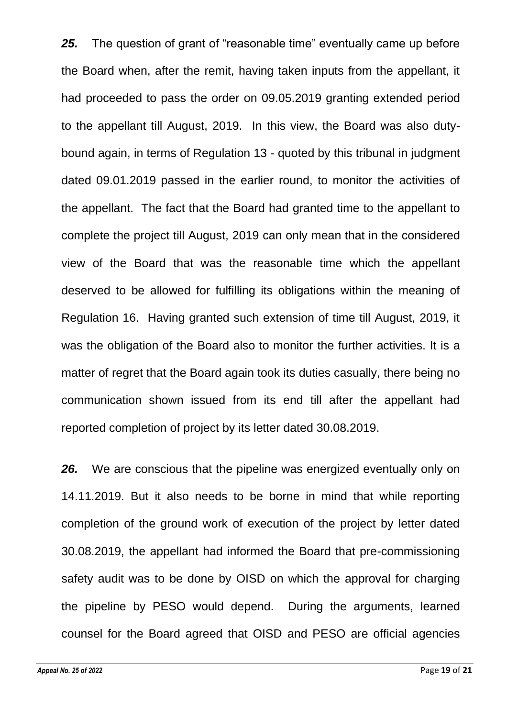*25.* The question of grant of "reasonable time" eventually came up before the Board when, after the remit, having taken inputs from the appellant, it had proceeded to pass the order on 09.05.2019 granting extended period to the appellant till August, 2019. In this view, the Board was also dutybound again, in terms of Regulation 13 - quoted by this tribunal in judgment dated 09.01.2019 passed in the earlier round, to monitor the activities of the appellant. The fact that the Board had granted time to the appellant to complete the project till August, 2019 can only mean that in the considered view of the Board that was the reasonable time which the appellant deserved to be allowed for fulfilling its obligations within the meaning of Regulation 16. Having granted such extension of time till August, 2019, it was the obligation of the Board also to monitor the further activities. It is a matter of regret that the Board again took its duties casually, there being no communication shown issued from its end till after the appellant had reported completion of project by its letter dated 30.08.2019.

*26.* We are conscious that the pipeline was energized eventually only on 14.11.2019. But it also needs to be borne in mind that while reporting completion of the ground work of execution of the project by letter dated 30.08.2019, the appellant had informed the Board that pre-commissioning safety audit was to be done by OISD on which the approval for charging the pipeline by PESO would depend. During the arguments, learned counsel for the Board agreed that OISD and PESO are official agencies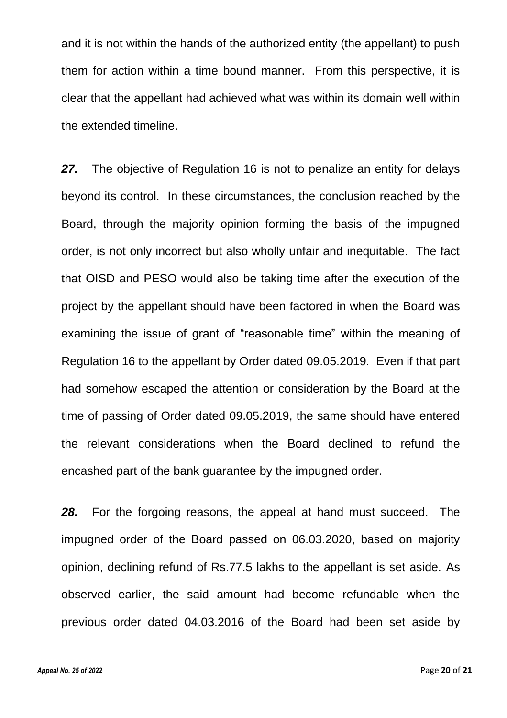and it is not within the hands of the authorized entity (the appellant) to push them for action within a time bound manner. From this perspective, it is clear that the appellant had achieved what was within its domain well within the extended timeline.

*27.* The objective of Regulation 16 is not to penalize an entity for delays beyond its control. In these circumstances, the conclusion reached by the Board, through the majority opinion forming the basis of the impugned order, is not only incorrect but also wholly unfair and inequitable. The fact that OISD and PESO would also be taking time after the execution of the project by the appellant should have been factored in when the Board was examining the issue of grant of "reasonable time" within the meaning of Regulation 16 to the appellant by Order dated 09.05.2019. Even if that part had somehow escaped the attention or consideration by the Board at the time of passing of Order dated 09.05.2019, the same should have entered the relevant considerations when the Board declined to refund the encashed part of the bank guarantee by the impugned order.

*28.* For the forgoing reasons, the appeal at hand must succeed. The impugned order of the Board passed on 06.03.2020, based on majority opinion, declining refund of Rs.77.5 lakhs to the appellant is set aside. As observed earlier, the said amount had become refundable when the previous order dated 04.03.2016 of the Board had been set aside by